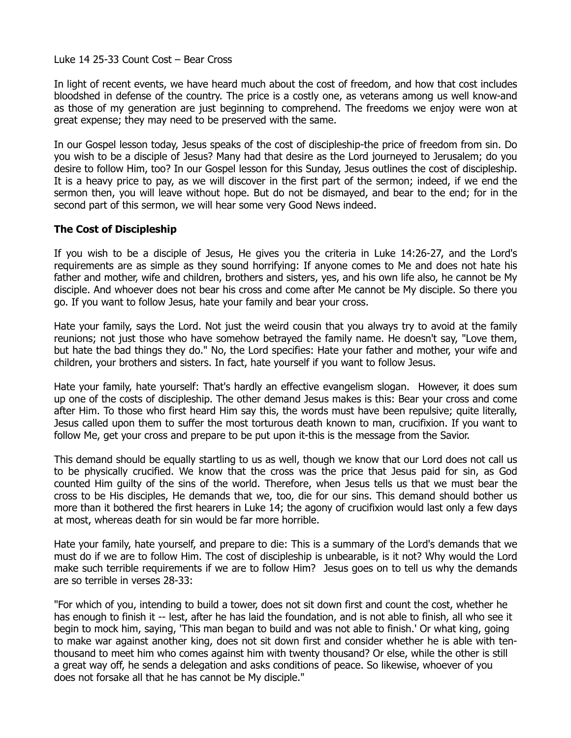Luke 14 25-33 Count Cost – Bear Cross

In light of recent events, we have heard much about the cost of freedom, and how that cost includes bloodshed in defense of the country. The price is a costly one, as veterans among us well know-and as those of my generation are just beginning to comprehend. The freedoms we enjoy were won at great expense; they may need to be preserved with the same.

In our Gospel lesson today, Jesus speaks of the cost of discipleship-the price of freedom from sin. Do you wish to be a disciple of Jesus? Many had that desire as the Lord journeyed to Jerusalem; do you desire to follow Him, too? In our Gospel lesson for this Sunday, Jesus outlines the cost of discipleship. It is a heavy price to pay, as we will discover in the first part of the sermon; indeed, if we end the sermon then, you will leave without hope. But do not be dismayed, and bear to the end; for in the second part of this sermon, we will hear some very Good News indeed.

## **The Cost of Discipleship**

If you wish to be a disciple of Jesus, He gives you the criteria in Luke 14:26-27, and the Lord's requirements are as simple as they sound horrifying: If anyone comes to Me and does not hate his father and mother, wife and children, brothers and sisters, yes, and his own life also, he cannot be My disciple. And whoever does not bear his cross and come after Me cannot be My disciple. So there you go. If you want to follow Jesus, hate your family and bear your cross.

Hate your family, says the Lord. Not just the weird cousin that you always try to avoid at the family reunions; not just those who have somehow betrayed the family name. He doesn't say, "Love them, but hate the bad things they do." No, the Lord specifies: Hate your father and mother, your wife and children, your brothers and sisters. In fact, hate yourself if you want to follow Jesus.

Hate your family, hate yourself: That's hardly an effective evangelism slogan. However, it does sum up one of the costs of discipleship. The other demand Jesus makes is this: Bear your cross and come after Him. To those who first heard Him say this, the words must have been repulsive; quite literally, Jesus called upon them to suffer the most torturous death known to man, crucifixion. If you want to follow Me, get your cross and prepare to be put upon it-this is the message from the Savior.

This demand should be equally startling to us as well, though we know that our Lord does not call us to be physically crucified. We know that the cross was the price that Jesus paid for sin, as God counted Him guilty of the sins of the world. Therefore, when Jesus tells us that we must bear the cross to be His disciples, He demands that we, too, die for our sins. This demand should bother us more than it bothered the first hearers in Luke 14; the agony of crucifixion would last only a few days at most, whereas death for sin would be far more horrible.

Hate your family, hate yourself, and prepare to die: This is a summary of the Lord's demands that we must do if we are to follow Him. The cost of discipleship is unbearable, is it not? Why would the Lord make such terrible requirements if we are to follow Him? Jesus goes on to tell us why the demands are so terrible in verses 28-33:

"For which of you, intending to build a tower, does not sit down first and count the cost, whether he has enough to finish it -- lest, after he has laid the foundation, and is not able to finish, all who see it begin to mock him, saying, 'This man began to build and was not able to finish.' Or what king, going to make war against another king, does not sit down first and consider whether he is able with tenthousand to meet him who comes against him with twenty thousand? Or else, while the other is still a great way off, he sends a delegation and asks conditions of peace. So likewise, whoever of you does not forsake all that he has cannot be My disciple."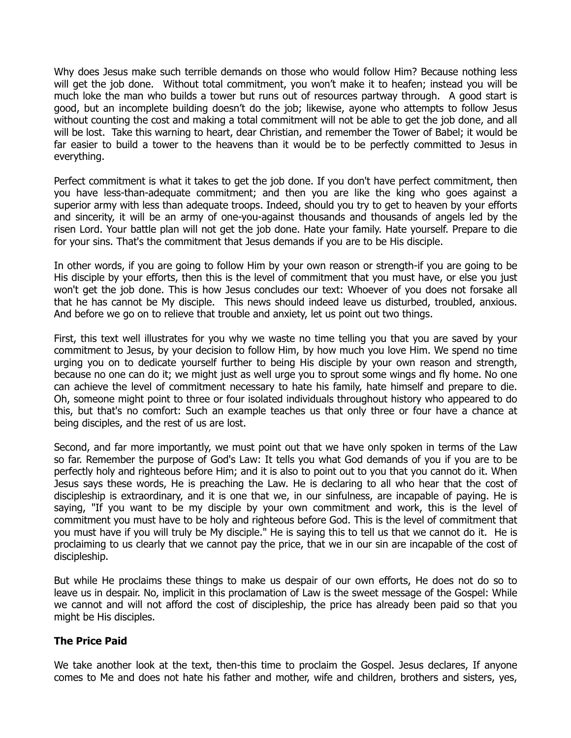Why does Jesus make such terrible demands on those who would follow Him? Because nothing less will get the job done. Without total commitment, you won't make it to heafen; instead you will be much loke the man who builds a tower but runs out of resources partway through. A good start is good, but an incomplete building doesn't do the job; likewise, ayone who attempts to follow Jesus without counting the cost and making a total commitment will not be able to get the job done, and all will be lost. Take this warning to heart, dear Christian, and remember the Tower of Babel; it would be far easier to build a tower to the heavens than it would be to be perfectly committed to Jesus in everything.

Perfect commitment is what it takes to get the job done. If you don't have perfect commitment, then you have less-than-adequate commitment; and then you are like the king who goes against a superior army with less than adequate troops. Indeed, should you try to get to heaven by your efforts and sincerity, it will be an army of one-you-against thousands and thousands of angels led by the risen Lord. Your battle plan will not get the job done. Hate your family. Hate yourself. Prepare to die for your sins. That's the commitment that Jesus demands if you are to be His disciple.

In other words, if you are going to follow Him by your own reason or strength-if you are going to be His disciple by your efforts, then this is the level of commitment that you must have, or else you just won't get the job done. This is how Jesus concludes our text: Whoever of you does not forsake all that he has cannot be My disciple. This news should indeed leave us disturbed, troubled, anxious. And before we go on to relieve that trouble and anxiety, let us point out two things.

First, this text well illustrates for you why we waste no time telling you that you are saved by your commitment to Jesus, by your decision to follow Him, by how much you love Him. We spend no time urging you on to dedicate yourself further to being His disciple by your own reason and strength, because no one can do it; we might just as well urge you to sprout some wings and fly home. No one can achieve the level of commitment necessary to hate his family, hate himself and prepare to die. Oh, someone might point to three or four isolated individuals throughout history who appeared to do this, but that's no comfort: Such an example teaches us that only three or four have a chance at being disciples, and the rest of us are lost.

Second, and far more importantly, we must point out that we have only spoken in terms of the Law so far. Remember the purpose of God's Law: It tells you what God demands of you if you are to be perfectly holy and righteous before Him; and it is also to point out to you that you cannot do it. When Jesus says these words, He is preaching the Law. He is declaring to all who hear that the cost of discipleship is extraordinary, and it is one that we, in our sinfulness, are incapable of paying. He is saying, "If you want to be my disciple by your own commitment and work, this is the level of commitment you must have to be holy and righteous before God. This is the level of commitment that you must have if you will truly be My disciple." He is saying this to tell us that we cannot do it. He is proclaiming to us clearly that we cannot pay the price, that we in our sin are incapable of the cost of discipleship.

But while He proclaims these things to make us despair of our own efforts, He does not do so to leave us in despair. No, implicit in this proclamation of Law is the sweet message of the Gospel: While we cannot and will not afford the cost of discipleship, the price has already been paid so that you might be His disciples.

## **The Price Paid**

We take another look at the text, then-this time to proclaim the Gospel. Jesus declares, If anyone comes to Me and does not hate his father and mother, wife and children, brothers and sisters, yes,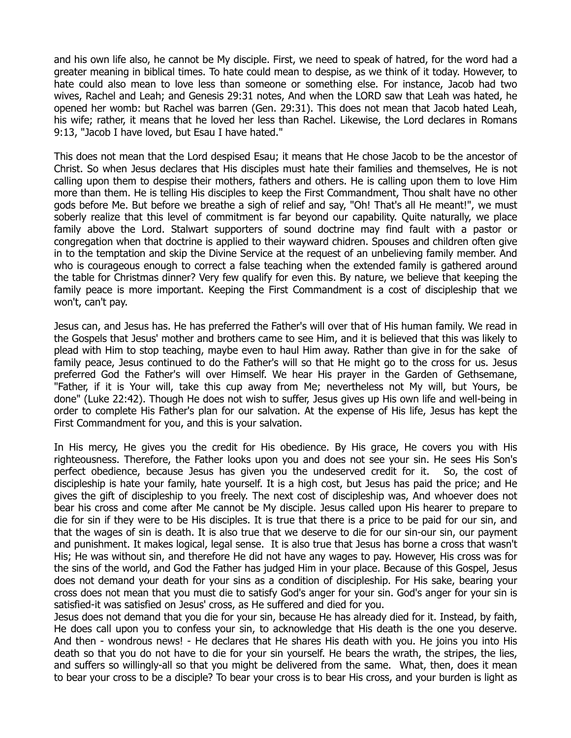and his own life also, he cannot be My disciple. First, we need to speak of hatred, for the word had a greater meaning in biblical times. To hate could mean to despise, as we think of it today. However, to hate could also mean to love less than someone or something else. For instance, Jacob had two wives, Rachel and Leah; and Genesis 29:31 notes, And when the LORD saw that Leah was hated, he opened her womb: but Rachel was barren (Gen. 29:31). This does not mean that Jacob hated Leah, his wife; rather, it means that he loved her less than Rachel. Likewise, the Lord declares in Romans 9:13, "Jacob I have loved, but Esau I have hated."

This does not mean that the Lord despised Esau; it means that He chose Jacob to be the ancestor of Christ. So when Jesus declares that His disciples must hate their families and themselves, He is not calling upon them to despise their mothers, fathers and others. He is calling upon them to love Him more than them. He is telling His disciples to keep the First Commandment, Thou shalt have no other gods before Me. But before we breathe a sigh of relief and say, "Oh! That's all He meant!", we must soberly realize that this level of commitment is far beyond our capability. Quite naturally, we place family above the Lord. Stalwart supporters of sound doctrine may find fault with a pastor or congregation when that doctrine is applied to their wayward chidren. Spouses and children often give in to the temptation and skip the Divine Service at the request of an unbelieving family member. And who is courageous enough to correct a false teaching when the extended family is gathered around the table for Christmas dinner? Very few qualify for even this. By nature, we believe that keeping the family peace is more important. Keeping the First Commandment is a cost of discipleship that we won't, can't pay.

Jesus can, and Jesus has. He has preferred the Father's will over that of His human family. We read in the Gospels that Jesus' mother and brothers came to see Him, and it is believed that this was likely to plead with Him to stop teaching, maybe even to haul Him away. Rather than give in for the sake of family peace, Jesus continued to do the Father's will so that He might go to the cross for us. Jesus preferred God the Father's will over Himself. We hear His prayer in the Garden of Gethsemane, "Father, if it is Your will, take this cup away from Me; nevertheless not My will, but Yours, be done" (Luke 22:42). Though He does not wish to suffer, Jesus gives up His own life and well-being in order to complete His Father's plan for our salvation. At the expense of His life, Jesus has kept the First Commandment for you, and this is your salvation.

In His mercy, He gives you the credit for His obedience. By His grace, He covers you with His righteousness. Therefore, the Father looks upon you and does not see your sin. He sees His Son's perfect obedience, because Jesus has given you the undeserved credit for it. So, the cost of discipleship is hate your family, hate yourself. It is a high cost, but Jesus has paid the price; and He gives the gift of discipleship to you freely. The next cost of discipleship was, And whoever does not bear his cross and come after Me cannot be My disciple. Jesus called upon His hearer to prepare to die for sin if they were to be His disciples. It is true that there is a price to be paid for our sin, and that the wages of sin is death. It is also true that we deserve to die for our sin-our sin, our payment and punishment. It makes logical, legal sense. It is also true that Jesus has borne a cross that wasn't His; He was without sin, and therefore He did not have any wages to pay. However, His cross was for the sins of the world, and God the Father has judged Him in your place. Because of this Gospel, Jesus does not demand your death for your sins as a condition of discipleship. For His sake, bearing your cross does not mean that you must die to satisfy God's anger for your sin. God's anger for your sin is satisfied-it was satisfied on Jesus' cross, as He suffered and died for you.

Jesus does not demand that you die for your sin, because He has already died for it. Instead, by faith, He does call upon you to confess your sin, to acknowledge that His death is the one you deserve. And then - wondrous news! - He declares that He shares His death with you. He joins you into His death so that you do not have to die for your sin yourself. He bears the wrath, the stripes, the lies, and suffers so willingly-all so that you might be delivered from the same. What, then, does it mean to bear your cross to be a disciple? To bear your cross is to bear His cross, and your burden is light as